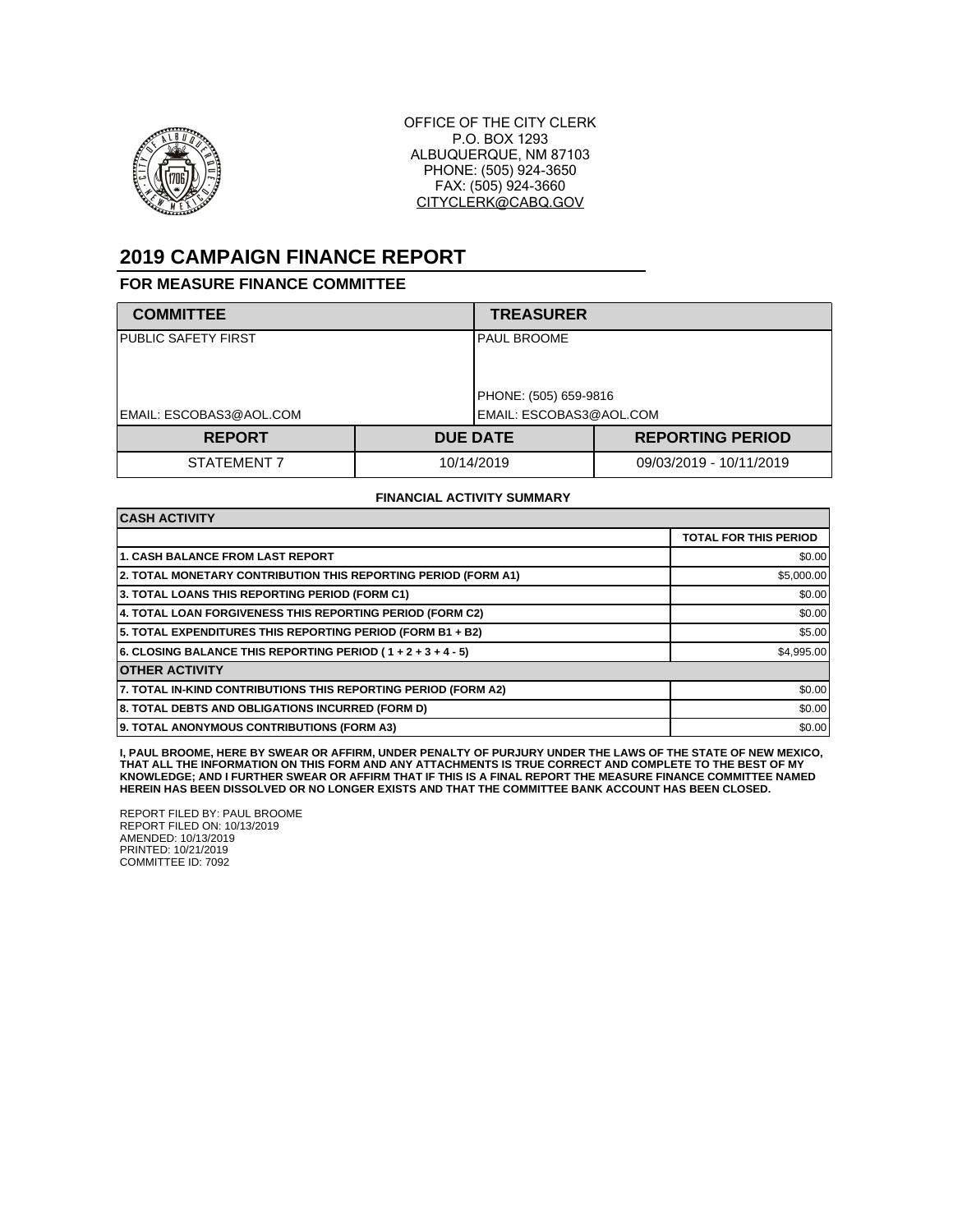

OFFICE OF THE CITY CLERK P.O. BOX 1293 ALBUQUERQUE, NM 87103 PHONE: (505) 924-3650 FAX: (505) 924-3660 CITYCLERK@CABQ.GOV

# **2019 CAMPAIGN FINANCE REPORT**

#### **FOR MEASURE FINANCE COMMITTEE**

| <b>COMMITTEE</b>        |            | <b>TREASURER</b>                 |                         |  |
|-------------------------|------------|----------------------------------|-------------------------|--|
| PUBLIC SAFETY FIRST     |            | IPAUL BROOME                     |                         |  |
|                         |            | PHONE: (505) 659-9816            |                         |  |
| EMAIL: ESCOBAS3@AOL.COM |            | <b>I</b> EMAIL: ESCOBAS3@AOL.COM |                         |  |
| <b>REPORT</b>           |            | <b>DUE DATE</b>                  | <b>REPORTING PERIOD</b> |  |
| STATEMENT 7             | 10/14/2019 |                                  | 09/03/2019 - 10/11/2019 |  |

#### **FINANCIAL ACTIVITY SUMMARY**

| <b>CASH ACTIVITY</b>                                           |                              |  |  |
|----------------------------------------------------------------|------------------------------|--|--|
|                                                                | <b>TOTAL FOR THIS PERIOD</b> |  |  |
| <b>1. CASH BALANCE FROM LAST REPORT</b>                        | \$0.00                       |  |  |
| 2. TOTAL MONETARY CONTRIBUTION THIS REPORTING PERIOD (FORM A1) | \$5,000.00                   |  |  |
| 3. TOTAL LOANS THIS REPORTING PERIOD (FORM C1)                 | \$0.00                       |  |  |
| 4. TOTAL LOAN FORGIVENESS THIS REPORTING PERIOD (FORM C2)      | \$0.00                       |  |  |
| 5. TOTAL EXPENDITURES THIS REPORTING PERIOD (FORM B1 + B2)     | \$5.00                       |  |  |
| 6. CLOSING BALANCE THIS REPORTING PERIOD (1+2+3+4-5)           | \$4,995.00                   |  |  |
| <b>OTHER ACTIVITY</b>                                          |                              |  |  |
| 7. TOTAL IN-KIND CONTRIBUTIONS THIS REPORTING PERIOD (FORM A2) | \$0.00                       |  |  |
| 8. TOTAL DEBTS AND OBLIGATIONS INCURRED (FORM D)               | \$0.00                       |  |  |
| 9. TOTAL ANONYMOUS CONTRIBUTIONS (FORM A3)                     | \$0.00                       |  |  |

**I, PAUL BROOME, HERE BY SWEAR OR AFFIRM, UNDER PENALTY OF PURJURY UNDER THE LAWS OF THE STATE OF NEW MEXICO, THAT ALL THE INFORMATION ON THIS FORM AND ANY ATTACHMENTS IS TRUE CORRECT AND COMPLETE TO THE BEST OF MY KNOWLEDGE; AND I FURTHER SWEAR OR AFFIRM THAT IF THIS IS A FINAL REPORT THE MEASURE FINANCE COMMITTEE NAMED HEREIN HAS BEEN DISSOLVED OR NO LONGER EXISTS AND THAT THE COMMITTEE BANK ACCOUNT HAS BEEN CLOSED.**

REPORT FILED BY: PAUL BROOME REPORT FILED ON: 10/13/2019 AMENDED: 10/13/2019 PRINTED: 10/21/2019 COMMITTEE ID: 7092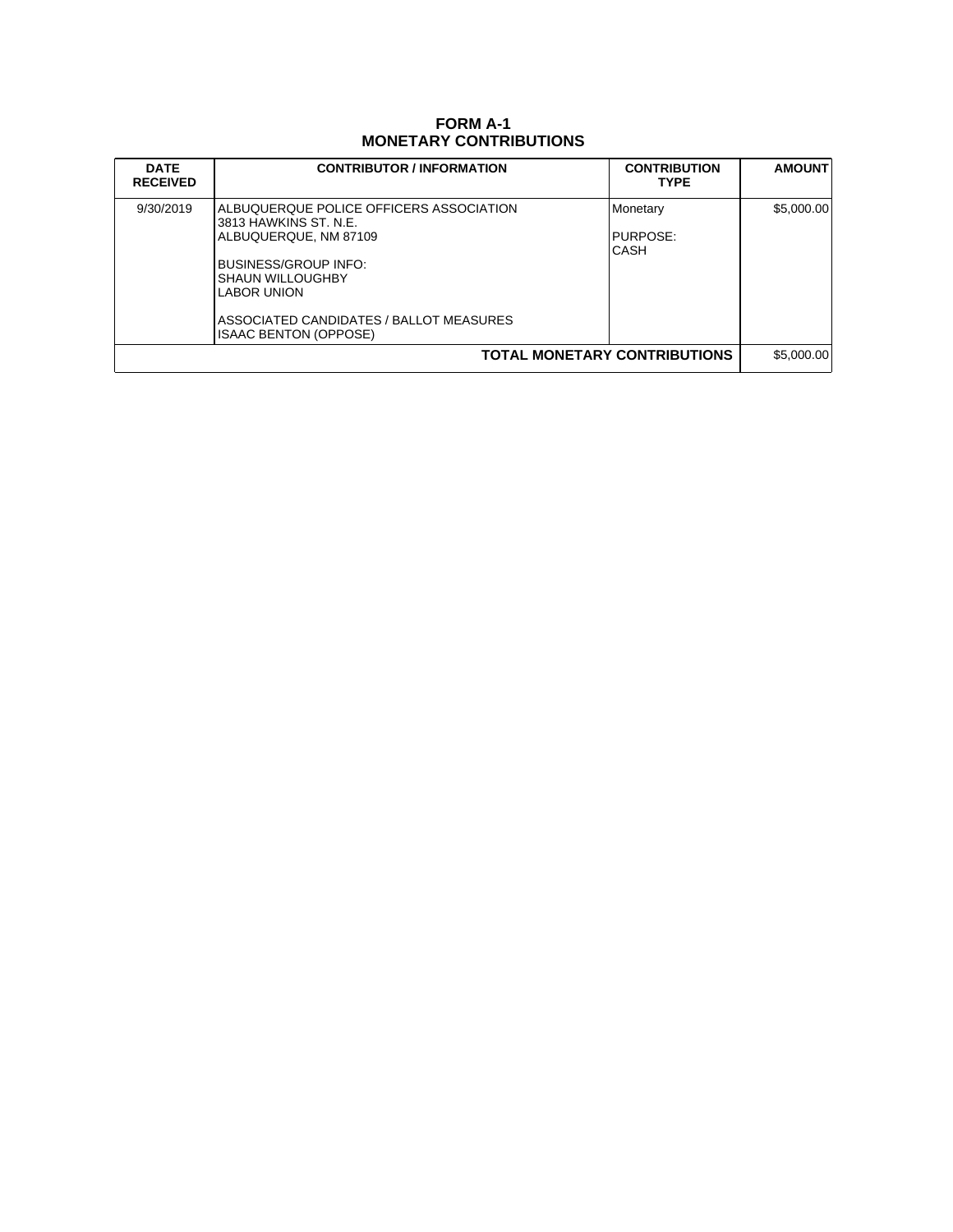## **FORM A-1 MONETARY CONTRIBUTIONS**

| <b>DATE</b><br><b>RECEIVED</b> | <b>CONTRIBUTOR / INFORMATION</b>                                                                                                                                                                                                              | <b>CONTRIBUTION</b><br><b>TYPE</b>  | <b>AMOUNT</b> |
|--------------------------------|-----------------------------------------------------------------------------------------------------------------------------------------------------------------------------------------------------------------------------------------------|-------------------------------------|---------------|
| 9/30/2019                      | ALBUQUERQUE POLICE OFFICERS ASSOCIATION<br>3813 HAWKINS ST. N.E.<br>ALBUQUERQUE, NM 87109<br>BUSINESS/GROUP INFO:<br><b>SHAUN WILLOUGHBY</b><br><b>LABOR UNION</b><br>ASSOCIATED CANDIDATES / BALLOT MEASURES<br><b>ISAAC BENTON (OPPOSE)</b> | Monetary<br>PURPOSE:<br><b>CASH</b> | \$5,000.00    |
| TOTAL MONETARY CONTRIBUTIONS   |                                                                                                                                                                                                                                               |                                     |               |